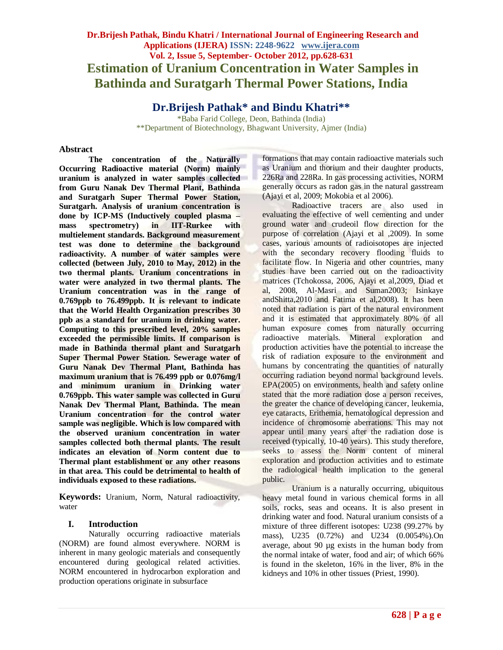# **Dr.Brijesh Pathak, Bindu Khatri / International Journal of Engineering Research and Applications (IJERA) ISSN: 2248-9622 www.ijera.com Vol. 2, Issue 5, September- October 2012, pp.628-631 Estimation of Uranium Concentration in Water Samples in Bathinda and Suratgarh Thermal Power Stations, India**

**Dr.Brijesh Pathak\* and Bindu Khatri\*\***

\*Baba Farid College, Deon, Bathinda (India) \*\*Department of Biotechnology, Bhagwant University, Ajmer (India)

### **Abstract**

**The concentration of the Naturally Occurring Radioactive material (Norm) mainly uranium is analyzed in water samples collected from Guru Nanak Dev Thermal Plant, Bathinda and Suratgarh Super Thermal Power Station, Suratgarh. Analysis of uranium concentration is done by ICP-MS (Inductively coupled plasma – mass spectrometry) in IIT-Rurkee with multielement standards. Background measurement test was done to determine the background radioactivity. A number of water samples were collected (between July, 2010 to May, 2012) in the two thermal plants. Uranium concentrations in water were analyzed in two thermal plants. The Uranium concentration was in the range of 0.769ppb to 76.499ppb. It is relevant to indicate that the World Health Organization prescribes 30 ppb as a standard for uranium in drinking water. Computing to this prescribed level, 20% samples exceeded the permissible limits. If comparison is made in Bathinda thermal plant and Suratgarh Super Thermal Power Station. Sewerage water of Guru Nanak Dev Thermal Plant, Bathinda has maximum uranium that is 76.499 ppb or 0.076mg/l and minimum uranium in Drinking water 0.769ppb. This water sample was collected in Guru Nanak Dev Thermal Plant, Bathinda. The mean Uranium concentration for the control water sample was negligible. Which is low compared with the observed uranium concentration in water samples collected both thermal plants. The result indicates an elevation of Norm content due to Thermal plant establishment or any other reasons in that area. This could be detrimental to health of individuals exposed to these radiations.**

**Keywords:** Uranium, Norm, Natural radioactivity, water

### **I. Introduction**

Naturally occurring radioactive materials (NORM) are found almost everywhere. NORM is inherent in many geologic materials and consequently encountered during geological related activities. NORM encountered in hydrocarbon exploration and production operations originate in subsurface

formations that may contain radioactive materials such as Uranium and thorium and their daughter products, 226Ra and 228Ra. In gas processing activities, NORM generally occurs as radon gas in the natural gasstream (Ajayi et al, 2009; Mokobia et al 2006).

Radioactive tracers are also used in evaluating the effective of well cementing and under ground water and crudeoil flow direction for the purpose of correlation (Ajayi et al ,2009). In some cases, various amounts of radioisotopes are injected with the secondary recovery flooding fluids to facilitate flow. In Nigeria and other countries, many studies have been carried out on the radioactivity matrices (Tchokossa, 2006, Ajayi et al,2009, Diad et al, 2008, Al-Masri and Suman2003; Isinkaye andShitta,2010 and Fatima et al,2008). It has been noted that radiation is part of the natural environment and it is estimated that approximately 80% of all human exposure comes from naturally occurring radioactive materials. Mineral exploration and production activities have the potential to increase the risk of radiation exposure to the environment and humans by concentrating the quantities of naturally occurring radiation beyond normal background levels. EPA(2005) on environments, health and safety online stated that the more radiation dose a person receives, the greater the chance of developing cancer, leukemia, eye cataracts, Erithemia, hematological depression and incidence of chromosome aberrations. This may not appear until many years after the radiation dose is received (typically, 10-40 years). This study therefore, seeks to assess the Norm content of mineral exploration and production activities and to estimate the radiological health implication to the general public.

Uranium is a naturally occurring, ubiquitous heavy metal found in various chemical forms in all soils, rocks, seas and oceans. It is also present in drinking water and food. Natural uranium consists of a mixture of three different isotopes: U238 (99.27% by mass), U235 (0.72%) and U234 (0.0054%).On average, about 90 µg exists in the human body from the normal intake of water, food and air; of which 66% is found in the skeleton, 16% in the liver, 8% in the kidneys and 10% in other tissues (Priest, 1990).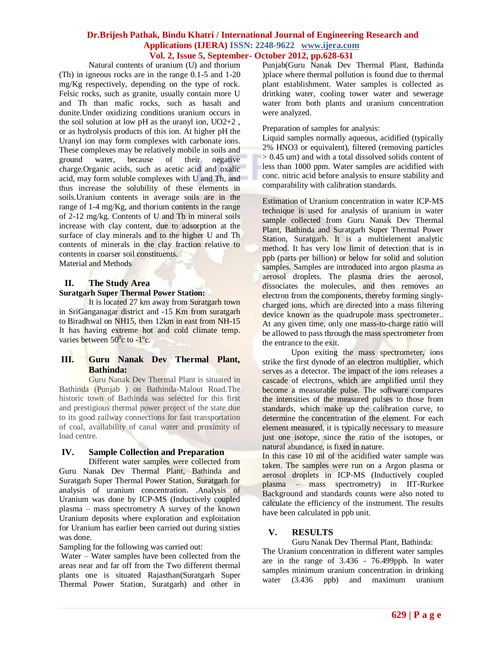### **Dr.Brijesh Pathak, Bindu Khatri / International Journal of Engineering Research and Applications (IJERA) ISSN: 2248-9622 www.ijera.com Vol. 2, Issue 5, September- October 2012, pp.628-631**

Natural contents of uranium (U) and thorium (Th) in igneous rocks are in the range 0.1-5 and 1-20 mg/Kg respectively, depending on the type of rock. Felsic rocks, such as granite, usually contain more U and Th than mafic rocks, such as basalt and dunite.Under oxidizing conditions uranium occurs in the soil solution at low pH as the uranyl ion, UO2+2 , or as hydrolysis products of this ion. At higher pH the Uranyl ion may form complexes with carbonate ions. These complexes may be relatively mobile in soils and<br>ground water, because of their negative ground water, because of their negative charge.Organic acids, such as acetic acid and oxalic acid, may form soluble complexes with U and Th, and thus increase the solubility of these elements in soils.Uranium contents in average soils are in the range of 1-4 mg/Kg, and thorium contents in the range of 2-12 mg/kg. Contents of U and Th in mineral soils increase with clay content, due to adsorption at the surface of clay minerals and to the higher U and Th contents of minerals in the clay fraction relative to contents in coarser soil constituents. Material and Methods

### **II. The Study Area**

#### **Suratgarh Super Thermal Power Station:**

It is located 27 km away from Suratgarh town in SriGanganagar district and -15 Km from suratgarh to Biradhwal on NH15, then 12km in east from NH-15 It has having extreme hot and cold climate temp. varies between 50°c to -1°c.

## **III. Guru Nanak Dev Thermal Plant, Bathinda:**

Guru Nanak Dev Thermal Plant is situated in Bathinda (Punjab ) on Bathinda-Malout Road.The historic town of Bathinda was selected for this first and prestigious thermal power project of the state due to its good railway connections for fast transportation of coal, availability of canal water and proximity of load centre.

### **IV. Sample Collection and Preparation**

Different water samples were collected from Guru Nanak Dev Thermal Plant, Bathinda and Suratgarh Super Thermal Power Station, Suratgarh for analysis of uranium concentration. .Analysis of Uranium was done by ICP-MS (Inductively coupled plasma – mass spectrometry A survey of the known Uranium deposits where exploration and exploitation for Uranium has earlier been carried out during sixties was done.

Sampling for the following was carried out:

Water – Water samples have been collected from the areas near and far off from the Two different thermal plants one is situated Rajasthan(Suratgarh Super Thermal Power Station, Suratgarh) and other in Punjab(Guru Nanak Dev Thermal Plant, Bathinda )place where thermal pollution is found due to thermal plant establishment. Water samples is collected as drinking water, cooling tower water and sewerage water from both plants and uranium concentration were analyzed.

Preparation of samples for analysis:

Liquid samples normally aqueous, acidified (typically 2% HNO3 or equivalent), filtered (removing particles > 0.45 um) and with a total dissolved solids content of less than 1000 ppm. Water samples are acidified with conc. nitric acid before analysis to ensure stability and comparability with calibration standards.

Estimation of Uranium concentration in water ICP-MS technique is used for analysis of uranium in water sample collected from Guru Nanak Dev Thermal Plant, Bathinda and Suratgarh Super Thermal Power Station, Suratgarh. It is a multielement analytic method. It has very low limit of detection that is in ppb (parts per billion) or below for solid and solution samples. Samples are introduced into argon plasma as aerosol droplets. The plasma dries the aerosol, dissociates the molecules, and then removes an electron from the components, thereby forming singlycharged ions, which are directed into a mass filtering device known as the quadrupole mass spectrometer.. At any given time, only one mass-to-charge ratio will be allowed to pass through the mass spectrometer from the entrance to the exit.

 Upon exiting the mass spectrometer, ions strike the first dynode of an electron multiplier, which serves as a detector. The impact of the ions releases a cascade of electrons, which are amplified until they become a measurable pulse. The software compares the intensities of the measured pulses to those from standards, which make up the calibration curve, to determine the concentration of the element. For each element measured, it is typically necessary to measure just one isotope, since the ratio of the isotopes, or natural abundance, is fixed in nature.

In this case 10 ml of the acidified water sample was taken. The samples were run on a Argon plasma or aerosol droplets in ICP-MS (Inductively coupled plasma – mass spectrometry) in IIT-Rurkee Background and standards counts were also noted to calculate the efficiency of the instrument. The results have been calculated in ppb unit.

### **V. RESULTS**

### Guru Nanak Dev Thermal Plant, Bathinda:

The Uranium concentration in different water samples are in the range of 3.436 - 76.499ppb. In water samples minimum uranium concentration in drinking water (3.436 ppb) and maximum uranium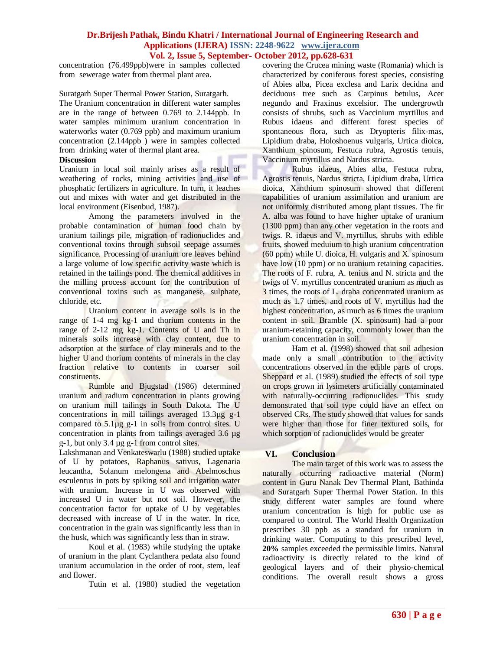### **Dr.Brijesh Pathak, Bindu Khatri / International Journal of Engineering Research and Applications (IJERA) ISSN: 2248-9622 www.ijera.com Vol. 2, Issue 5, September- October 2012, pp.628-631**

concentration (76.499ppb)were in samples collected from sewerage water from thermal plant area.

Suratgarh Super Thermal Power Station, Suratgarh. The Uranium concentration in different water samples are in the range of between 0.769 to 2.144ppb. In water samples minimum uranium concentration in waterworks water (0.769 ppb) and maximum uranium concentration (2.144ppb ) were in samples collected from drinking water of thermal plant area.

#### **Discussion**

Uranium in local soil mainly arises as a result of weathering of rocks, mining activities and use of phosphatic fertilizers in agriculture. In turn, it leaches out and mixes with water and get distributed in the local environment (Eisenbud, 1987).

Among the parameters involved in the probable contamination of human food chain by uranium tailings pile, migration of radionuclides and conventional toxins through subsoil seepage assumes significance. Processing of uranium ore leaves behind a large volume of low specific activity waste which is retained in the tailings pond. The chemical additives in the milling process account for the contribution of conventional toxins such as manganese, sulphate, chloride, etc.

Uranium content in average soils is in the range of 1-4 mg kg-1 and thorium contents in the range of 2-12 mg kg-1. Contents of U and Th in minerals soils increase with clay content, due to adsorption at the surface of clay minerals and to the higher U and thorium contents of minerals in the clay fraction relative to contents in coarser soil constituents.

Rumble and Bjugstad (1986) determined uranium and radium concentration in plants growing on uranium mill tailings in South Dakota. The U concentrations in mill tailings averaged 13.3µg g-1 compared to  $5.1\mu$ g g-1 in soils from control sites. U concentration in plants from tailings averaged 3.6 µg g-1, but only 3.4 µg g-1 from control sites.

Lakshmanan and Venkateswarlu (1988) studied uptake of U by potatoes, Raphanus sativus, Lagenaria leucantha, Solanum melongena and Abelmoschus esculentus in pots by spiking soil and irrigation water with uranium. Increase in U was observed with increased U in water but not soil. However, the concentration factor for uptake of U by vegetables decreased with increase of U in the water. In rice, concentration in the grain was significantly less than in the husk, which was significantly less than in straw.

Koul et al. (1983) while studying the uptake of uranium in the plant Cyclanthera pedata also found uranium accumulation in the order of root, stem, leaf and flower.

Tutin et al. (1980) studied the vegetation

covering the Crucea mining waste (Romania) which is characterized by coniferous forest species, consisting of Abies alba, Picea exclesa and Larix decidna and deciduous tree such as Carpinus betulus, Acer negundo and Fraxinus excelsior. The undergrowth consists of shrubs, such as Vaccinium myrtillus and Rubus idaeus and different forest species of spontaneous flora, such as Dryopteris filix-mas, Lipidium draba, Holoshoenus vulgaris, Urtica dioica, Xanthium spinosum, Festuca rubra, Agrostis tenuis, Vaccinium myrtillus and Nardus stricta.

Rubus idaeus, Abies alba, Festuca rubra, Agrostis tenuis, Nardus stricta, Lipidium draba, Urtica dioica, Xanthium spinosum showed that different capabilities of uranium assimilation and uranium are not uniformly distributed among plant tissues. The fir A. alba was found to have higher uptake of uranium (1300 ppm) than any other vegetation in the roots and twigs. R. idaeus and V. myrtillus, shrubs with edible fruits, showed meduium to high uranium concentration  $(60$  ppm) while U. dioica, H. vulgaris and X. spinosum have low (10 ppm) or no uranium retaining capacities. The roots of F. rubra, A. tenius and N. stricta and the twigs of V. myrtillus concentrated uranium as much as 3 times, the roots of L. draba concentrated uranium as much as 1.7 times, and roots of V. myrtillus had the highest concentration, as much as 6 times the uranium content in soil. Bramble (X. spinosum) had a poor uranium-retaining capacity, commonly lower than the uranium concentration in soil.

Ham et al. (1998) showed that soil adhesion made only a small contribution to the activity concentrations observed in the edible parts of crops. Sheppard et al. (1989) studied the effects of soil type on crops grown in lysimeters artificially contaminated with naturally-occurring radionuclides. This study demonstrated that soil type could have an effect on observed CRs. The study showed that values for sands were higher than those for finer textured soils, for which sorption of radionuclides would be greater

### **VI. Conclusion**

The main target of this work was to assess the naturally occurring radioactive material (Norm) content in Guru Nanak Dev Thermal Plant, Bathinda and Suratgarh Super Thermal Power Station. In this study different water samples are found where uranium concentration is high for public use as compared to control. The World Health Organization prescribes 30 ppb as a standard for uranium in drinking water. Computing to this prescribed level, **20%** samples exceeded the permissible limits. Natural radioactivity is directly related to the kind of geological layers and of their physio-chemical conditions. The overall result shows a gross